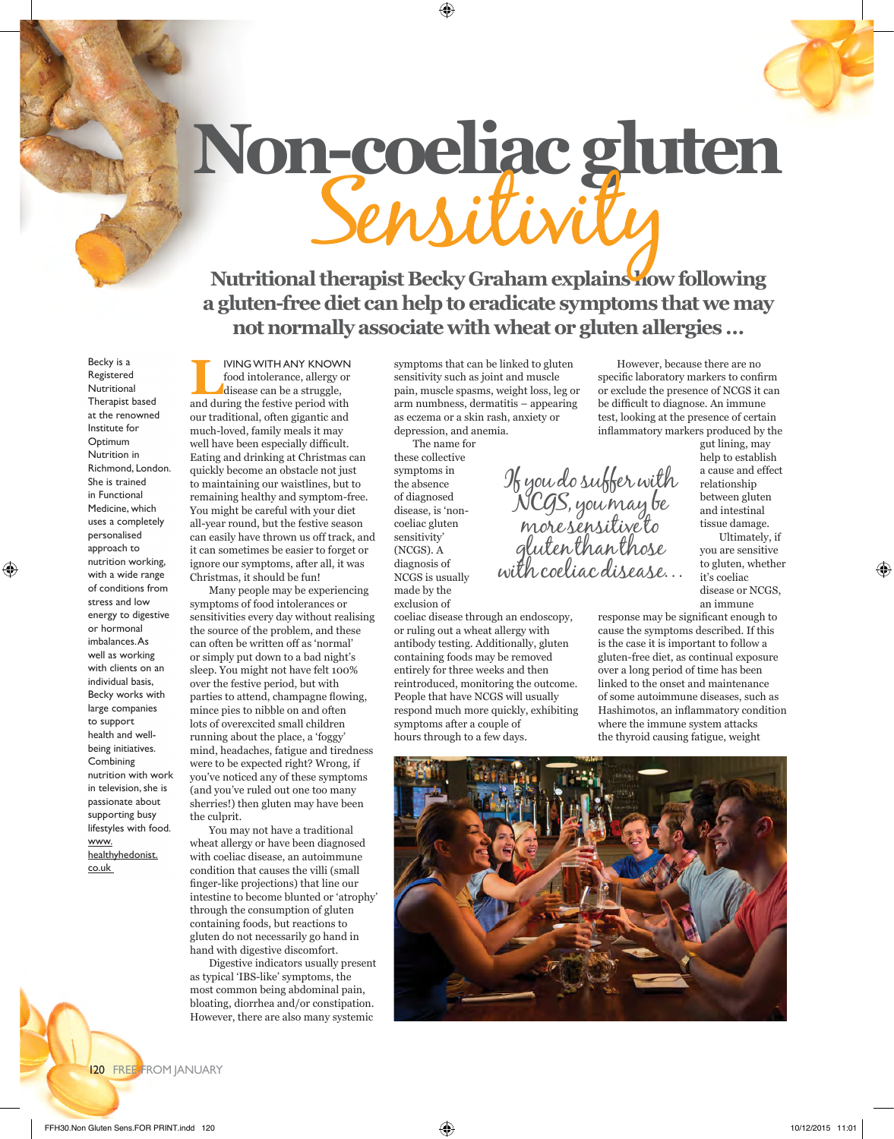# **Non-coeliac gluten**

# **Nutritional therapist Becky Graham explains how following a gluten-free diet can help to eradicate symptoms that we may not normally associate with wheat or gluten allergies …**

Becky is a Registered **Nutritional** Therapist based at the renowned Institute for Optimum Nutrition in Richmond, London. She is trained in Functional Medicine, which uses a completely personalised approach to nutrition working, with a wide range of conditions from stress and low energy to digestive or hormonal imbalances. As well as working with clients on an individual basis, Becky works with large companies to support health and wellbeing initiatives. Combining nutrition with work in television, she is passionate about supporting busy lifestyles with food. www. healthyhedonist. co.uk

**LIVING WITH ANY KNOWN**<br>food intolerance, allergy or<br>disease can be a struggle, food intolerance, allergy or disease can be a struggle, and during the festive period with our traditional, often gigantic and much-loved, family meals it may well have been especially difficult. Eating and drinking at Christmas can quickly become an obstacle not just to maintaining our waistlines, but to remaining healthy and symptom-free. You might be careful with your diet all-year round, but the festive season can easily have thrown us off track, and it can sometimes be easier to forget or ignore our symptoms, after all, it was Christmas, it should be fun!

Many people may be experiencing symptoms of food intolerances or sensitivities every day without realising the source of the problem, and these can often be written off as 'normal' or simply put down to a bad night's sleep. You might not have felt 100% over the festive period, but with parties to attend, champagne flowing, mince pies to nibble on and often lots of overexcited small children running about the place, a 'foggy' mind, headaches, fatigue and tiredness were to be expected right? Wrong, if you've noticed any of these symptoms (and you've ruled out one too many sherries!) then gluten may have been the culprit.

You may not have a traditional wheat allergy or have been diagnosed with coeliac disease, an autoimmune condition that causes the villi (small finger-like projections) that line our intestine to become blunted or 'atrophy' through the consumption of gluten containing foods, but reactions to gluten do not necessarily go hand in hand with digestive discomfort.

Digestive indicators usually present as typical 'IBS-like' symptoms, the most common being abdominal pain, bloating, diorrhea and/or constipation. However, there are also many systemic

symptoms that can be linked to gluten sensitivity such as joint and muscle pain, muscle spasms, weight loss, leg or arm numbness, dermatitis – appearing as eczema or a skin rash, anxiety or depression, and anemia.

The name for these collective symptoms in the absence of diagnosed disease, is 'noncoeliac gluten sensitivity' (NCGS). A diagnosis of NCGS is usually made by the exclusion of

coeliac disease through an endoscopy, or ruling out a wheat allergy with antibody testing. Additionally, gluten containing foods may be removed entirely for three weeks and then reintroduced, monitoring the outcome. People that have NCGS will usually respond much more quickly, exhibiting symptoms after a couple of hours through to a few days.

However, because there are no specific laboratory markers to confirm or exclude the presence of NCGS it can be difficult to diagnose. An immune test, looking at the presence of certain inflammatory markers produced by the

If you do suffer with NCGS, you may be more sensitive to gluten than those with coeliac disease…

gut lining, may help to establish a cause and effect relationship between gluten and intestinal tissue damage. Ultimately, if

you are sensitive to gluten, whether it's coeliac disease or NCGS, an immune

response may be significant enough to cause the symptoms described. If this is the case it is important to follow a gluten-free diet, as continual exposure over a long period of time has been linked to the onset and maintenance of some autoimmune diseases, such as Hashimotos, an inflammatory condition where the immune system attacks the thyroid causing fatigue, weight